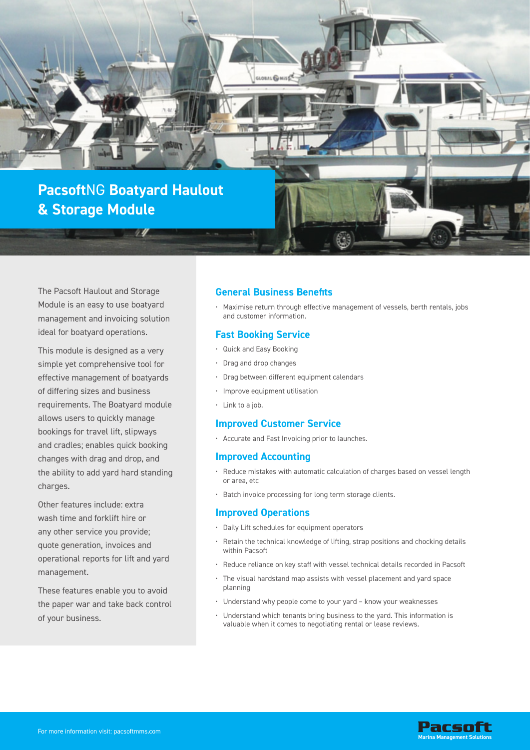

The Pacsoft Haulout and Storage Module is an easy to use boatyard management and invoicing solution ideal for boatyard operations.

This module is designed as a very simple yet comprehensive tool for effective management of boatyards of differing sizes and business requirements. The Boatyard module allows users to quickly manage bookings for travel lift, slipways and cradles; enables quick booking changes with drag and drop, and the ability to add yard hard standing charges.

Other features include: extra wash time and forklift hire or any other service you provide; quote generation, invoices and operational reports for lift and yard management.

These features enable you to avoid the paper war and take back control of your business.

# **General Business Benefits**

• Maximise return through effective management of vessels, berth rentals, jobs and customer information.

# **Fast Booking Service**

- Quick and Easy Booking
- Drag and drop changes
- Drag between different equipment calendars
- Improve equipment utilisation
- Link to a job.

# **Improved Customer Service**

• Accurate and Fast Invoicing prior to launches.

#### **Improved Accounting**

- Reduce mistakes with automatic calculation of charges based on vessel length or area, etc
- Batch invoice processing for long term storage clients.

## **Improved Operations**

- Daily Lift schedules for equipment operators
- Retain the technical knowledge of lifting, strap positions and chocking details within Pacsoft
- Reduce reliance on key staff with vessel technical details recorded in Pacsoft
- The visual hardstand map assists with vessel placement and yard space planning
- Understand why people come to your yard know your weaknesses
- Understand which tenants bring business to the yard. This information is valuable when it comes to negotiating rental or lease reviews.